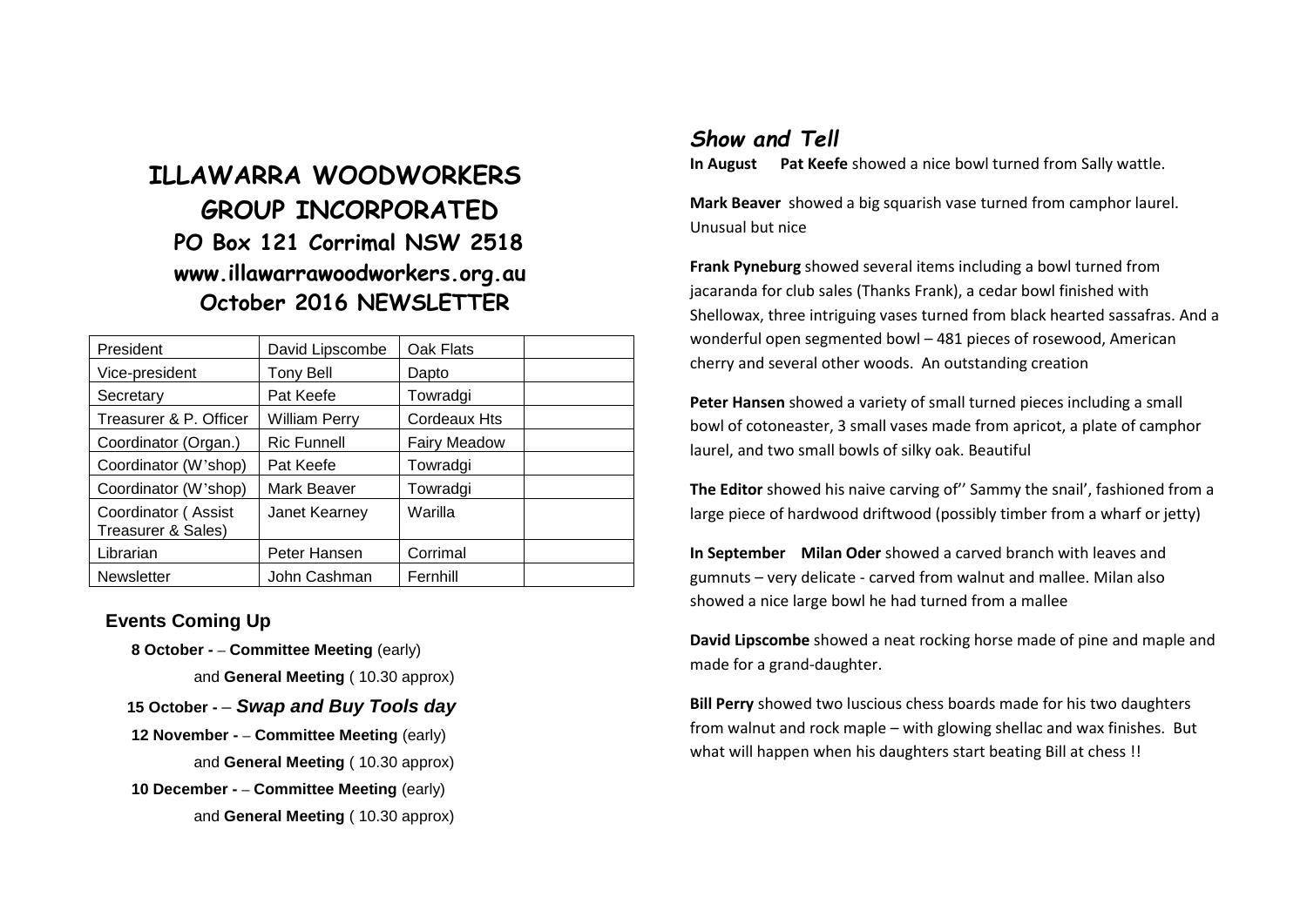# **ILLAWARRA WOODWORKERS GROUP INCORPORATED PO Box 121 Corrimal NSW 2518 www.illawarrawoodworkers.org.au October 2016 NEWSLETTER**

| President                                 | David Lipscombe      | Oak Flats           |  |
|-------------------------------------------|----------------------|---------------------|--|
| Vice-president                            | <b>Tony Bell</b>     | Dapto               |  |
| Secretary                                 | Pat Keefe            | Towradgi            |  |
| Treasurer & P. Officer                    | <b>William Perry</b> | <b>Cordeaux Hts</b> |  |
| Coordinator (Organ.)                      | <b>Ric Funnell</b>   | <b>Fairy Meadow</b> |  |
| Coordinator (W'shop)                      | Pat Keefe            | Towradgi            |  |
| Coordinator (W'shop)                      | Mark Beaver          | Towradgi            |  |
| Coordinator (Assist<br>Treasurer & Sales) | Janet Kearney        | Warilla             |  |
| Librarian                                 | Peter Hansen         | Corrimal            |  |
| <b>Newsletter</b>                         | John Cashman         | Fernhill            |  |

### **Events Coming Up**

- **8 October - – Committee Meeting** (early) and **General Meeting** ( 10.30 approx)
- **15 October -** *– Swap and Buy Tools day*
- **12 November - – Committee Meeting** (early) and **General Meeting** ( 10.30 approx)  **10 December - – Committee Meeting** (early)
	- and **General Meeting** ( 10.30 approx)

## *Show and Tell*

**In August Pat Keefe** showed a nice bowl turned from Sally wattle.

**Mark Beaver** showed a big squarish vase turned from camphor laurel. Unusual but nice

**Frank Pyneburg** showed several items including a bowl turned from jacaranda for club sales (Thanks Frank), a cedar bowl finished with Shellowax, three intriguing vases turned from black hearted sassafras. And a wonderful open segmented bowl – 481 pieces of rosewood, American cherry and several other woods. An outstanding creation

**Peter Hansen** showed a variety of small turned pieces including a small bowl of cotoneaster, 3 small vases made from apricot, a plate of camphor laurel, and two small bowls of silky oak. Beautiful

**The Editor** showed his naive carving of'' Sammy the snail', fashioned from a large piece of hardwood driftwood (possibly timber from a wharf or jetty)

**In September Milan Oder** showed a carved branch with leaves and gumnuts – very delicate - carved from walnut and mallee. Milan also showed a nice large bowl he had turned from a mallee

**David Lipscombe** showed a neat rocking horse made of pine and maple and made for a grand-daughter.

**Bill Perry** showed two luscious chess boards made for his two daughters from walnut and rock maple – with glowing shellac and wax finishes. But what will happen when his daughters start beating Bill at chess !!